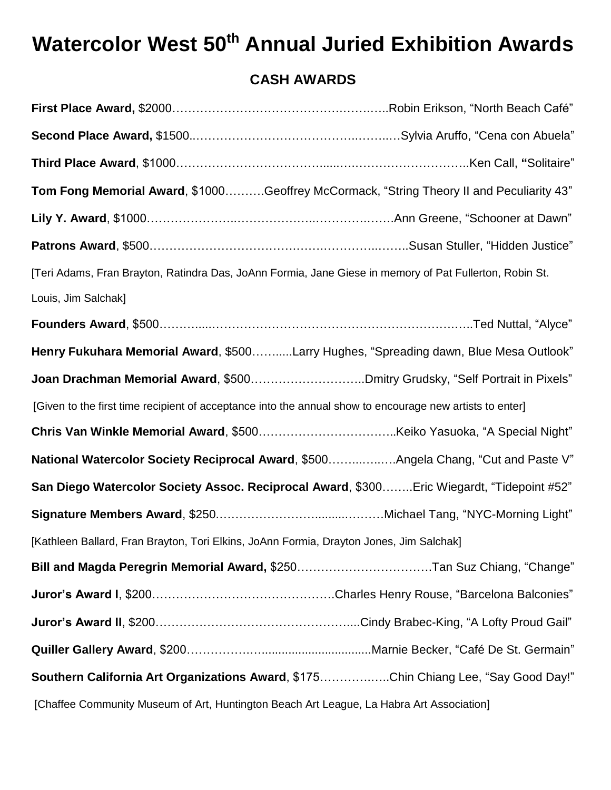## **Watercolor West 50th Annual Juried Exhibition Awards**

## **CASH AWARDS**

| Tom Fong Memorial Award, \$1000Geoffrey McCormack, "String Theory II and Peculiarity 43"                 |  |
|----------------------------------------------------------------------------------------------------------|--|
|                                                                                                          |  |
|                                                                                                          |  |
| [Teri Adams, Fran Brayton, Ratindra Das, JoAnn Formia, Jane Giese in memory of Pat Fullerton, Robin St.  |  |
| Louis, Jim Salchak]                                                                                      |  |
|                                                                                                          |  |
| Henry Fukuhara Memorial Award, \$500Larry Hughes, "Spreading dawn, Blue Mesa Outlook"                    |  |
|                                                                                                          |  |
| [Given to the first time recipient of acceptance into the annual show to encourage new artists to enter] |  |
|                                                                                                          |  |
| Mational Watercolor Society Reciprocal Award, \$500Angela Chang, "Cut and Paste V"                       |  |
| San Diego Watercolor Society Assoc. Reciprocal Award, \$300Eric Wiegardt, "Tidepoint #52"                |  |
|                                                                                                          |  |
| [Kathleen Ballard, Fran Brayton, Tori Elkins, JoAnn Formia, Drayton Jones, Jim Salchak]                  |  |
| Bill and Magda Peregrin Memorial Award, \$250Tan Suz Chiang, "Change"                                    |  |
|                                                                                                          |  |
|                                                                                                          |  |
|                                                                                                          |  |
| Southern California Art Organizations Award, \$175Chin Chiang Lee, "Say Good Day!"                       |  |
| [Chaffee Community Museum of Art, Huntington Beach Art League, La Habra Art Association]                 |  |